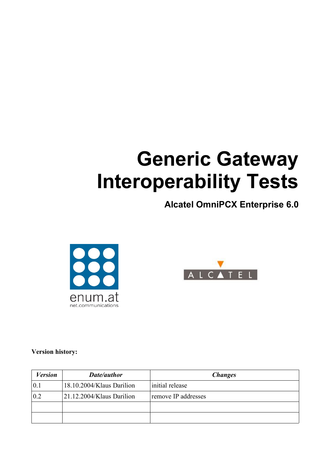# **Generic Gateway Interoperability Tests**

# **Alcatel OmniPCX Enterprise 6.0**





#### **Version history:**

| <b>Version</b> | Date/author               | <b>Changes</b>      |
|----------------|---------------------------|---------------------|
| 0.1            | 18.10.2004/Klaus Darilion | initial release     |
| 0.2            | 21.12.2004/Klaus Darilion | remove IP addresses |
|                |                           |                     |
|                |                           |                     |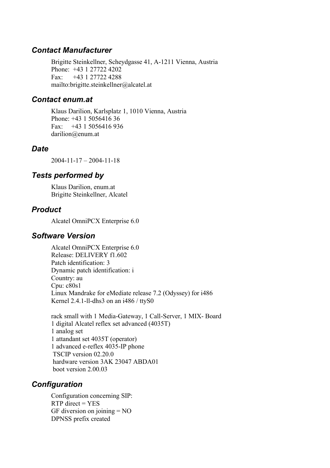### *Contact Manufacturer*

Brigitte Steinkellner, Scheydgasse 41, A-1211 Vienna, Austria Phone: +43 1 27722 4202 Fax: +43 1 27722 4288 mailto:brigitte.steinkellner@alcatel.at

#### *Contact enum.at*

Klaus Darilion, Karlsplatz 1, 1010 Vienna, Austria Phone: +43 1 5056416 36 Fax: +43 1 5056416 936 darilion@enum.at

### *Date*

2004-11-17 – 2004-11-18

# *Tests performed by*

Klaus Darilion, enum.at Brigitte Steinkellner, Alcatel

# *Product*

Alcatel OmniPCX Enterprise 6.0

## *Software Version*

Alcatel OmniPCX Enterprise 6.0 Release: DELIVERY f1.602 Patch identification: 3 Dynamic patch identification: i Country: au Cpu: c80s1 Linux Mandrake for eMediate release 7.2 (Odyssey) for i486 Kernel 2.4.1-ll-dhs3 on an i486 / ttyS0

rack small with 1 Media-Gateway, 1 Call-Server, 1 MIX- Board 1 digital Alcatel reflex set advanced (4035T) 1 analog set 1 attandant set 4035T (operator) 1 advanced e-reflex 4035-IP phone TSCIP version 02.20.0 hardware version 3AK 23047 ABDA01 boot version 2.00.03

# *Configuration*

Configuration concerning SIP:  $RTP$  direct =  $YES$ GF diversion on joining  $= NO$ DPNSS prefix created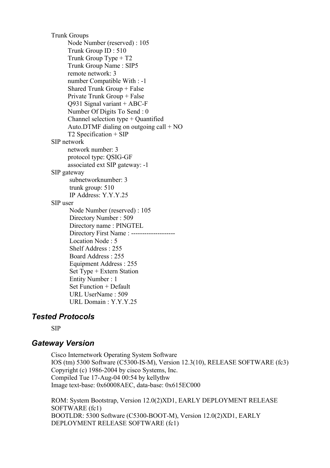Trunk Groups Node Number (reserved) : 105 Trunk Group ID : 510 Trunk Group Type + T2 Trunk Group Name : SIP5 remote network: 3 number Compatible With : -1 Shared Trunk Group + False Private Trunk Group + False Q931 Signal variant + ABC-F Number Of Digits To Send : 0 Channel selection type + Quantified Auto.DTMF dialing on outgoing call + NO T2 Specification + SIP SIP network network number: 3 protocol type: QSIG-GF associated ext SIP gateway: -1 SIP gateway subnetworknumber: 3 trunk group: 510 IP Address: Y.Y.Y.25 SIP user Node Number (reserved) : 105 Directory Number : 509 Directory name : PINGTEL Directory First Name : -------------------- Location Node : 5 Shelf Address : 255 Board Address : 255 Equipment Address : 255 Set Type + Extern Station Entity Number : 1 Set Function + Default URL UserName : 509 URL Domain : Y.Y.Y.25

#### *Tested Protocols*

SIP

#### *Gateway Version*

Cisco Internetwork Operating System Software IOS (tm) 5300 Software (C5300-IS-M), Version 12.3(10), RELEASE SOFTWARE (fc3) Copyright (c) 1986-2004 by cisco Systems, Inc. Compiled Tue 17-Aug-04 00:54 by kellythw Image text-base: 0x60008AEC, data-base: 0x615EC000

ROM: System Bootstrap, Version 12.0(2)XD1, EARLY DEPLOYMENT RELEASE SOFTWARE (fc1) BOOTLDR: 5300 Software (C5300-BOOT-M), Version 12.0(2)XD1, EARLY DEPLOYMENT RELEASE SOFTWARE (fc1)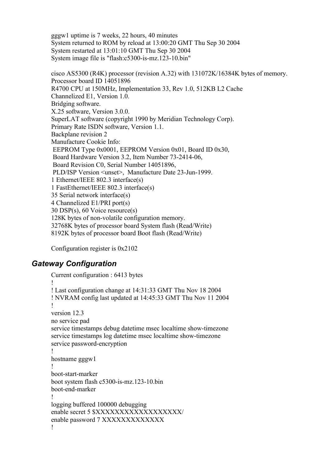gggw1 uptime is 7 weeks, 22 hours, 40 minutes System returned to ROM by reload at 13:00:20 GMT Thu Sep 30 2004 System restarted at 13:01:10 GMT Thu Sep 30 2004 System image file is "flash:c5300-is-mz.123-10.bin" cisco AS5300 (R4K) processor (revision A.32) with 131072K/16384K bytes of memory. Processor board ID 14051896 R4700 CPU at 150MHz, Implementation 33, Rev 1.0, 512KB L2 Cache Channelized E1, Version 1.0. Bridging software. X.25 software, Version 3.0.0. SuperLAT software (copyright 1990 by Meridian Technology Corp). Primary Rate ISDN software, Version 1.1. Backplane revision 2 Manufacture Cookie Info: EEPROM Type 0x0001, EEPROM Version 0x01, Board ID 0x30, Board Hardware Version 3.2, Item Number 73-2414-06, Board Revision C0, Serial Number 14051896, PLD/ISP Version <unset>, Manufacture Date 23-Jun-1999. 1 Ethernet/IEEE 802.3 interface(s) 1 FastEthernet/IEEE 802.3 interface(s) 35 Serial network interface(s) 4 Channelized E1/PRI port(s)

30 DSP(s), 60 Voice resource(s) 128K bytes of non-volatile configuration memory. 32768K bytes of processor board System flash (Read/Write)

8192K bytes of processor board Boot flash (Read/Write)

Configuration register is 0x2102

# *Gateway Configuration*

```
Current configuration : 6413 bytes
!
! Last configuration change at 14:31:33 GMT Thu Nov 18 2004
! NVRAM config last updated at 14:45:33 GMT Thu Nov 11 2004
!
version 12.3
no service pad
service timestamps debug datetime msec localtime show-timezone
service timestamps log datetime msec localtime show-timezone
service password-encryption
!
hostname gggw1
!
boot-start-marker
boot system flash c5300-is-mz.123-10.bin
boot-end-marker
!
logging buffered 100000 debugging
enable secret 5 $XXXXXXXXXXXXXXXXXXXX
enable password 7 XXXXXXXXXXXXX
!
```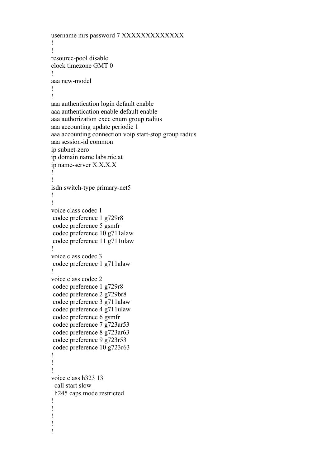```
username mrs password 7 XXXXXXXXXXXXX
!
!
resource-pool disable
clock timezone GMT 0
!
aaa new-model
!
!
aaa authentication login default enable
aaa authentication enable default enable
aaa authorization exec enum group radius
aaa accounting update periodic 1
aaa accounting connection voip start-stop group radius
aaa session-id common
ip subnet-zero
ip domain name labs.nic.at
ip name-server X.X.X.X
!
!
isdn switch-type primary-net5
!
!
voice class codec 1
codec preference 1 g729r8
codec preference 5 gsmfr
codec preference 10 g711alaw
codec preference 11 g711ulaw
!
voice class codec 3
codec preference 1 g711alaw
!
voice class codec 2
codec preference 1 g729r8
codec preference 2 g729br8
codec preference 3 g711alaw
codec preference 4 g711ulaw
codec preference 6 gsmfr
codec preference 7 g723ar53
codec preference 8 g723ar63
codec preference 9 g723r53
codec preference 10 g723r63
!
!
!
voice class h323 13
  call start slow
  h245 caps mode restricted
!
!
!
!
!
```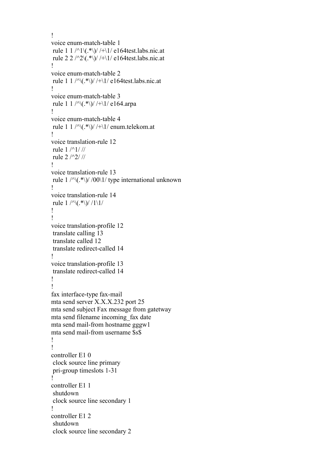```
!
voice enum-match-table 1
rule 1 / \frac{\gamma_1(\cdot)}{\gamma_1} / / + \1/ e164test.labs.nic.at
rule 2 2 /^2\(.*\)/ /+\1/ e164test.labs.nic.at
!
voice enum-match-table 2
rule 1 / \sqrt{\langle \cdot^* \rangle} / + \sqrt{1} / e164test.labs.nic.at
!
voice enum-match-table 3
rule 1 / \sqrt{\frac{k}{\sqrt{1}}}/1/10164.arpa
!
voice enum-match-table 4
rule 1 1 /\sqrt{(.*)}//\sqrt{1/} enum.telekom.at
!
voice translation-rule 12
rule 1 /^1/ //
rule 2 /^2/ //
!
voice translation-rule 13
rule 1 / \sqrt{\langle \cdot^* \rangle} / 00 \sqrt{1} / type international unknown
!
voice translation-rule 14
rule 1 / \sqrt{(.*)} / 1 \sqrt{1}!
!
voice translation-profile 12
translate calling 13
translate called 12
translate redirect-called 14
!
voice translation-profile 13
translate redirect-called 14
!
!
fax interface-type fax-mail
mta send server X.X.X.232 port 25
mta send subject Fax message from gatetway
mta send filename incoming_fax date
mta send mail-from hostname gggw1
mta send mail-from username $s$
!
!
controller E1 0
clock source line primary
pri-group timeslots 1-31
!
controller E1 1
shutdown
clock source line secondary 1
!
controller E1 2
shutdown
clock source line secondary 2
```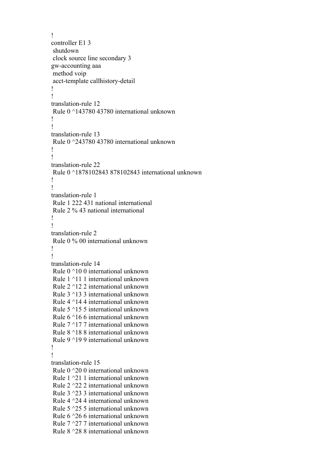```
!
controller E1 3
shutdown
clock source line secondary 3
gw-accounting aaa
method voip
acct-template callhistory-detail
!
!
translation-rule 12
Rule 0 ^143780 43780 international unknown
!
!
translation-rule 13
Rule 0 ^243780 43780 international unknown
!
!
translation-rule 22
Rule 0 ^1878102843 878102843 international unknown
!
!
translation-rule 1
Rule 1 222 431 national international
Rule 2 % 43 national international
!
!
translation-rule 2
Rule 0 % 00 international unknown
!
!
translation-rule 14
Rule 0 ^10 0 international unknown
Rule 1 ^11 1 international unknown
Rule 2 ^12 2 international unknown
Rule 3 ^13 3 international unknown
Rule 4 ^14 4 international unknown
Rule 5 ^15 5 international unknown
Rule 6 ^16 6 international unknown
Rule 7 ^17 7 international unknown
Rule 8 ^18 8 international unknown
Rule 9 ^19 9 international unknown
!
!
translation-rule 15
Rule 0 ^20 0 international unknown
Rule 1 ^21 1 international unknown
Rule 2 ^22 2 international unknown
Rule 3 ^23 3 international unknown
Rule 4 ^24 4 international unknown
Rule 5 ^25 5 international unknown
Rule 6 ^26 6 international unknown
Rule 7 ^27 7 international unknown
Rule 8 ^28 8 international unknown
```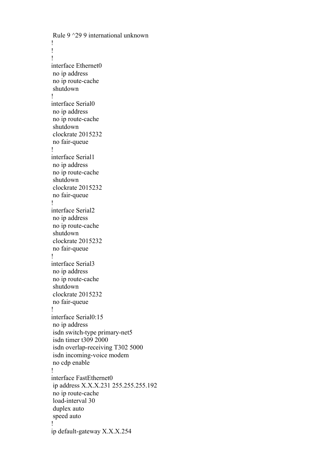Rule 9 ^29 9 international unknown ! ! ! interface Ethernet0 no ip address no ip route-cache shutdown ! interface Serial0 no ip address no ip route-cache shutdown clockrate 2015232 no fair-queue ! interface Serial1 no ip address no ip route-cache shutdown clockrate 2015232 no fair-queue ! interface Serial2 no ip address no ip route-cache shutdown clockrate 2015232 no fair-queue ! interface Serial3 no ip address no ip route-cache shutdown clockrate 2015232 no fair-queue ! interface Serial0:15 no ip address isdn switch-type primary-net5 isdn timer t309 2000 isdn overlap-receiving T302 5000 isdn incoming-voice modem no cdp enable ! interface FastEthernet0 ip address X.X.X.231 255.255.255.192 no ip route-cache load-interval 30 duplex auto speed auto ! ip default-gateway X.X.X.254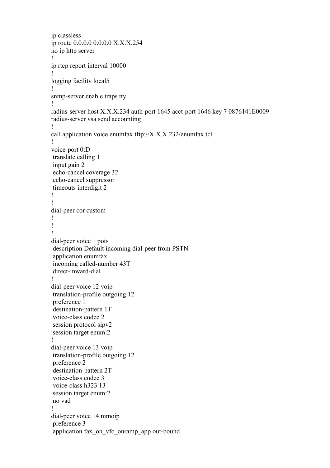```
ip classless
ip route 0.0.0.0 0.0.0.0 X.X.X.254
no ip http server
!
ip rtcp report interval 10000
!
logging facility local5
!
snmp-server enable traps tty
!
radius-server host X.X.X.234 auth-port 1645 acct-port 1646 key 7 0876141E0009
radius-server vsa send accounting
!
call application voice enumfax tftp://X.X.X.232/enumfax.tcl
!
voice-port 0:D
translate calling 1
input gain 2
echo-cancel coverage 32
echo-cancel suppressor
timeouts interdigit 2
!
!
dial-peer cor custom
!
!
!
dial-peer voice 1 pots
description Default incoming dial-peer from PSTN
application enumfax
incoming called-number 43T
direct-inward-dial
!
dial-peer voice 12 voip
translation-profile outgoing 12
preference 1
destination-pattern 1T
voice-class codec 2
session protocol sipv2
session target enum:2
!
dial-peer voice 13 voip
translation-profile outgoing 12
preference 2
destination-pattern 2T
voice-class codec 3
voice-class h323 13
session target enum:2
no vad
!
dial-peer voice 14 mmoip
preference 3
application fax_on_vfc_onramp_app out-bound
```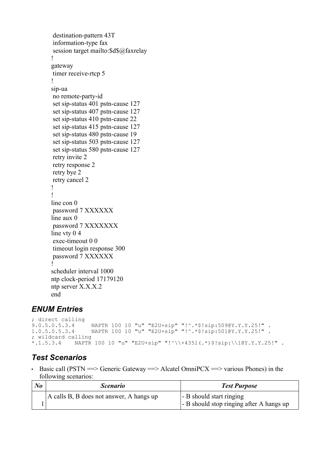```
destination-pattern 43T
information-type fax
session target mailto:$d$@faxrelay
!
gateway
timer receive-rtcp 5
!
sip-ua
no remote-party-id
set sip-status 401 pstn-cause 127
set sip-status 407 pstn-cause 127
set sip-status 410 pstn-cause 22
set sip-status 415 pstn-cause 127
set sip-status 480 pstn-cause 19
set sip-status 503 pstn-cause 127
set sip-status 580 pstn-cause 127
retry invite 2
retry response 2
retry bye 2
retry cancel 2
!
!
line con 0
password 7 XXXXXX
line aux 0
password 7 XXXXXXX
line vty 0 4
exec-timeout 0 0
timeout login response 300
password 7 XXXXXX
!
scheduler interval 1000
ntp clock-period 17179120
ntp server X.X.X.2
end
```
# *ENUM Entries*

```
; direct calling<br>9.0.5.0.5.3.4
9.0.5.0.5.3.4 NAPTR 100 10 "u" "E2U+sip" "!^.*$!sip:509@Y.Y.Y.25!" .
                      1.0.5.0.5.3.4 NAPTR 100 10 "u" "E2U+sip" "!^.*$!sip:501@Y.Y.Y.25!" .
%; wildcard calling<br>*.1.5.3.4 NAPTR
               *.1.5.3.4 NAPTR 100 10 "u" "E2U+sip" "!^\\+4351(.*)$!sip:\\1@Y.Y.Y.25!" .
```
# *Test Scenarios*

• Basic call (PSTN  $\Rightarrow$  Generic Gateway  $\Rightarrow$  Alcatel OmniPCX  $\Rightarrow$  various Phones) in the following scenarios:

| No | <i>Scenario</i>                          | <b>Test Purpose</b>                      |
|----|------------------------------------------|------------------------------------------|
|    | A calls B, B does not answer, A hangs up | - B should start ringing                 |
|    |                                          | - B should stop ringing after A hangs up |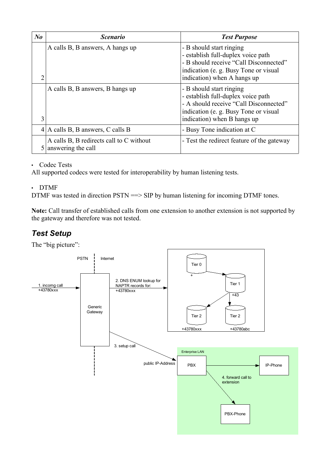| $N_{0}$ | <b>Scenario</b>                                                   | <b>Test Purpose</b>                                                                                                                                                              |
|---------|-------------------------------------------------------------------|----------------------------------------------------------------------------------------------------------------------------------------------------------------------------------|
| 2       | A calls B, B answers, A hangs up                                  | - B should start ringing<br>- establish full-duplex voice path<br>- B should receive "Call Disconnected"<br>indication (e. g. Busy Tone or visual<br>indication) when A hangs up |
| 3       | A calls B, B answers, B hangs up                                  | - B should start ringing<br>- establish full-duplex voice path<br>- A should receive "Call Disconnected"<br>indication (e.g. Busy Tone or visual<br>indication) when B hangs up  |
|         | $4 \,  A \text{ calls } B, B \text{ answers}, C \text{ calls } B$ | - Busy Tone indication at C                                                                                                                                                      |
| 5       | A calls B, B redirects call to C without<br>answering the call    | - Test the redirect feature of the gateway                                                                                                                                       |

#### • Codec Tests

All supported codecs were tested for interoperability by human listening tests.

#### • DTMF

DTMF was tested in direction PSTN =  $\gg$  SIP by human listening for incoming DTMF tones.

**Note:** Call transfer of established calls from one extension to another extension is not supported by the gateway and therefore was not tested.

# *Test Setup*

The "big picture":

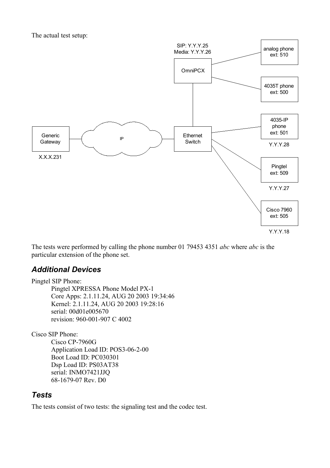The actual test setup:



The tests were performed by calling the phone number 01 79453 4351 *abc* where *abc* is the particular extension of the phone set.

# *Additional Devices*

Pingtel SIP Phone: Pingtel XPRESSA Phone Model PX-1 Core Apps: 2.1.11.24, AUG 20 2003 19:34:46 Kernel: 2.1.11.24, AUG 20 2003 19:28:16 serial: 00d01e005670 revision: 960-001-907 C 4002

Cisco SIP Phone:

Cisco CP-7960G Application Load ID: POS3-06-2-00 Boot Load ID: PC030301 Dsp Load ID: PS03AT38 serial: INMO7421JJQ 68-1679-07 Rev. D0

# *Tests*

The tests consist of two tests: the signaling test and the codec test.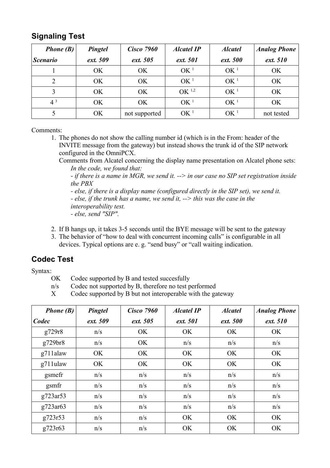# **Signaling Test**

| <i>Phone</i> $(B)$     | Pingtel   | <b>Cisco 7960</b> | <b>Alcatel IP</b> | <b>Alcatel</b>  | <b>Analog Phone</b> |
|------------------------|-----------|-------------------|-------------------|-----------------|---------------------|
| <i><b>Scenario</b></i> | ext. 509  | ext. 505          | ext. 501          | ext. 500        | ext. 510            |
|                        | OK        | <b>OK</b>         | OK <sup>1</sup>   | OK <sup>1</sup> | <b>OK</b>           |
| $\overline{2}$         | OK.       | <b>OK</b>         | OK <sup>1</sup>   | OK <sup>1</sup> | <b>OK</b>           |
| 3                      | <b>OK</b> | <b>OK</b>         | OK <sup>1,2</sup> | OK <sup>1</sup> | OK                  |
| $4^3$                  | OK.       | <b>OK</b>         | OK <sup>1</sup>   | OK <sup>1</sup> | <b>OK</b>           |
| 5                      | <b>OK</b> | not supported     | OK <sup>1</sup>   | OK <sup>1</sup> | not tested          |

Comments:

1. The phones do not show the calling number id (which is in the From: header of the INVITE message from the gateway) but instead shows the trunk id of the SIP network configured in the OmniPCX.

Comments from Alcatel concerning the display name presentation on Alcatel phone sets: *In the code, we found that:*

*- if there is a name in MGR, we send it. --> in our case no SIP set registration inside the PBX*

*- else, if there is a display name (configured directly in the SIP set), we send it. - else, if the trunk has a name, we send it, --> this was the case in the interoperability test. - else, send "SIP".*

- 2. If B hangs up, it takes 3-5 seconds until the BYE message will be sent to the gateway
- 3. The behavior of "how to deal with concurrent incoming calls" is configurable in all devices. Typical options are e. g. "send busy" or "call waiting indication.

# **Codec Test**

Syntax:

- OK Codec supported by B and tested succesfully
- n/s Codec not supported by B, therefore no test performed
- X Codec supported by B but not interoperable with the gateway

| Phone $(B)$ | Pingtel  | <b>Cisco 7960</b> | <b>Alcatel IP</b> | <b>Alcatel</b> | <b>Analog Phone</b> |
|-------------|----------|-------------------|-------------------|----------------|---------------------|
| Codec       | ext. 509 | ext. 505          | ext. 501          | ext. 500       | ext. 510            |
| g729r8      | n/s      | OK                | <b>OK</b>         | OK             | OK                  |
| g729br8     | n/s      | OK                | n/s               | n/s            | n/s                 |
| g711alaw    | OK       | OK                | OK                | OK             | OK                  |
| g711ulaw    | OK       | OK                | OK                | OK             | OK                  |
| gsmefr      | n/s      | n/s               | n/s               | n/s            | n/s                 |
| gsmfr       | n/s      | n/s               | n/s               | n/s            | n/s                 |
| g723ar53    | n/s      | n/s               | n/s               | n/s            | n/s                 |
| g723ar63    | n/s      | n/s               | n/s               | n/s            | n/s                 |
| g723r53     | n/s      | n/s               | OK                | OK             | OK                  |
| g723r63     | n/s      | n/s               | OK                | OK             | OK                  |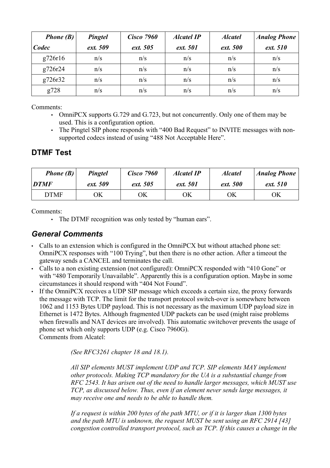| <i>Phone</i> $(B)$ | Pingtel  | <b>Cisco 7960</b> | <b>Alcatel IP</b> | <b>Alcatel</b> | <b>Analog Phone</b> |
|--------------------|----------|-------------------|-------------------|----------------|---------------------|
| Codec              | ext. 509 | ext. 505          | ext. 501          | ext. 500       | ext. 510            |
| g726r16            | n/s      | n/s               | n/s               | n/s            | n/s                 |
| g726r24            | n/s      | n/s               | n/s               | n/s            | n/s                 |
| g726r32            | n/s      | n/s               | n/s               | n/s            | n/s                 |
| g728               | n/s      | n/s               | n/s               | n/s            | n/s                 |

Comments:

- OmniPCX supports G.729 and G.723, but not concurrently. Only one of them may be used. This is a configuration option.
- The Pingtel SIP phone responds with "400 Bad Request" to INVITE messages with nonsupported codecs instead of using "488 Not Acceptable Here".

# **DTMF Test**

| <b>Phone</b> $(B)$ | <b>Pingtel</b> | <b>Cisco 7960</b> | <b>Alcatel IP</b> | <b>Alcatel</b> | <b>Analog Phone</b> |
|--------------------|----------------|-------------------|-------------------|----------------|---------------------|
| <b>DTMF</b>        | ext. 509       | ext. 505          | ext. 501          | ext. 500       | ext. 510            |
| <b>DTMF</b>        | ЭK             | ЭK                | ЭK                | ОK             | ΟK                  |

Comments:

• The DTMF recognition was only tested by "human ears".

# *General Comments*

- Calls to an extension which is configured in the OmniPCX but without attached phone set: OmniPCX responses with "100 Trying", but then there is no other action. After a timeout the gateway sends a CANCEL and terminates the call.
- Calls to a non existing extension (not configured): OmniPCX responded with "410 Gone" or with "480 Temporarily Unavailable". Apparently this is a configuration option. Maybe in some circumstances it should respond with "404 Not Found".
- If the OmniPCX receives a UDP SIP message which exceeds a certain size, the proxy forwards the message with TCP. The limit for the transport protocol switch-over is somewhere between 1062 and 1153 Bytes UDP payload. This is not necessary as the maximum UDP payload size in Ethernet is 1472 Bytes. Although fragmented UDP packets can be used (might raise problems when firewalls and NAT devices are involved). This automatic switchover prevents the usage of phone set which only supports UDP (e.g. Cisco 7960G). Comments from Alcatel:

*(See RFC3261 chapter 18 and 18.1).*

*All SIP elements MUST implement UDP and TCP. SIP elements MAY implement other protocols. Making TCP mandatory for the UA is a substantial change from RFC 2543. It has arisen out of the need to handle larger messages, which MUST use TCP, as discussed below. Thus, even if an element never sends large messages, it may receive one and needs to be able to handle them.*

*If a request is within 200 bytes of the path MTU, or if it is larger than 1300 bytes and the path MTU is unknown, the request MUST be sent using an RFC 2914 [43] congestion controlled transport protocol, such as TCP. If this causes a change in the*